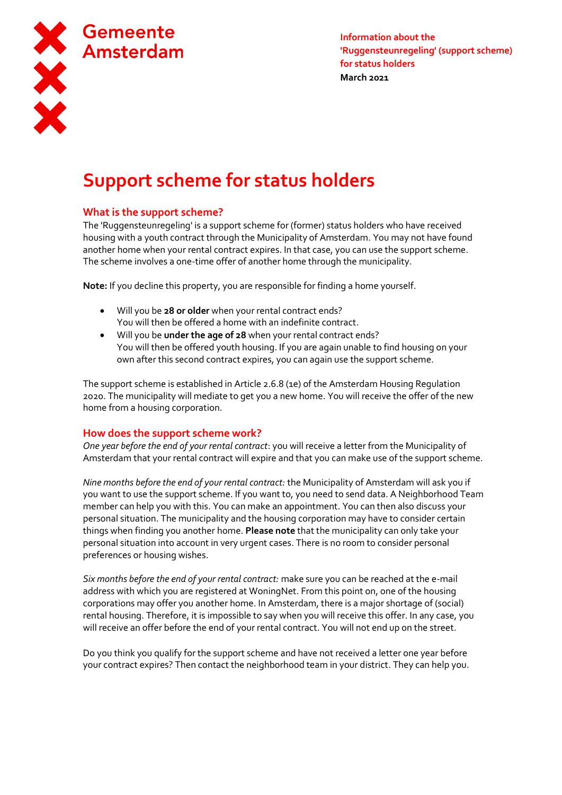

# **Support scheme for status holders**

# **What is the support scheme?**

The 'Ruggensteunregeling' is a support scheme for (former) status holders who have received housing with a youth contract through the Municipality of Amsterdam. You may not have found another home when your rental contract expires. In that case, you can use the support scheme. The scheme involves a one-time offer of another home through the municipality.

**Note:** If you decline this property, you are responsible for finding a home yourself.

- Will you be **28 or older** when your rental contract ends? You will then be offered a home with an indefinite contract.
- Will you be **under the age of 28** when your rental contract ends? You will then be offered youth housing. If you are again unable to find housing on your own after this second contract expires, you can again use the support scheme.

The support scheme is established in Article 2.6.8 (1e) of the Amsterdam Housing Regulation 2020. The municipality will mediate to get you a new home. You will receive the offer of the new home from a housing corporation.

## **How does the support scheme work?**

*One year before the end of your rental contract*: you will receive a letter from the Municipality of Amsterdam that your rental contract will expire and that you can make use of the support scheme.

*Nine months before the end of your rental contract:* the Municipality of Amsterdam will ask you if you want to use the support scheme. If you want to, you need to send data. A Neighborhood Team member can help you with this. You can make an appointment. You can then also discuss your personal situation. The municipality and the housing corporation may have to consider certain things when finding you another home. **Please note** that the municipality can only take your personal situation into account in very urgent cases. There is no room to consider personal preferences or housing wishes.

*Six months before the end of your rental contract:* make sure you can be reached at the e-mail address with which you are registered at WoningNet. From this point on, one of the housing corporations may offer you another home. In Amsterdam, there is a major shortage of (social) rental housing. Therefore, it is impossible to say when you will receive this offer. In any case, you will receive an offer before the end of your rental contract. You will not end up on the street.

Do you think you qualify for the support scheme and have not received a letter one year before your contract expires? Then contact the neighborhood team in your district. They can help you.